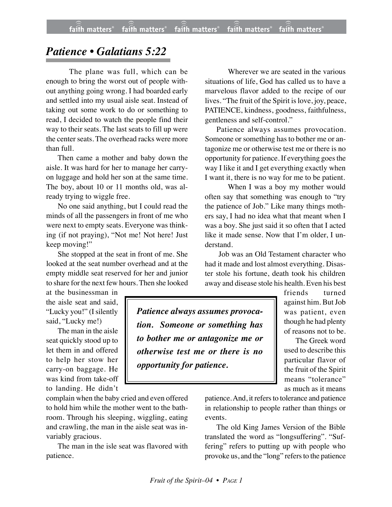## *Patience • Galatians 5:22*

The plane was full, which can be enough to bring the worst out of people without anything going wrong. I had boarded early and settled into my usual aisle seat. Instead of taking out some work to do or something to read, I decided to watch the people find their way to their seats. The last seats to fill up were the center seats. The overhead racks were more than full.

Then came a mother and baby down the aisle. It was hard for her to manage her carryon luggage and hold her son at the same time. The boy, about 10 or 11 months old, was already trying to wiggle free.

No one said anything, but I could read the minds of all the passengers in front of me who were next to empty seats. Everyone was thinking (if not praying), "Not me! Not here! Just keep moving!"

She stopped at the seat in front of me. She looked at the seat number overhead and at the empty middle seat reserved for her and junior to share for the next few hours. Then she looked

at the businessman in the aisle seat and said, "Lucky you!" (I silently said, "Lucky me!)

The man in the aisle seat quickly stood up to let them in and offered to help her stow her carry-on baggage. He was kind from take-off to landing. He didn't

complain when the baby cried and even offered to hold him while the mother went to the bathroom. Through his sleeping, wiggling, eating and crawling, the man in the aisle seat was invariably gracious.

The man in the isle seat was flavored with patience.

Wherever we are seated in the various situations of life, God has called us to have a marvelous flavor added to the recipe of our lives. "The fruit of the Spirit is love, joy, peace, PATIENCE, kindness, goodness, faithfulness, gentleness and self-control."

Patience always assumes provocation. Someone or something has to bother me or antagonize me or otherwise test me or there is no opportunity for patience. If everything goes the way I like it and I get everything exactly when I want it, there is no way for me to be patient.

When I was a boy my mother would often say that something was enough to "try the patience of Job." Like many things mothers say, I had no idea what that meant when I was a boy. She just said it so often that I acted like it made sense. Now that I'm older, I understand.

 Job was an Old Testament character who had it made and lost almost everything. Disaster stole his fortune, death took his children away and disease stole his health. Even his best

> friends turned against him. But Job was patient, even though he had plenty of reasons not to be.

The Greek word used to describe this particular flavor of the fruit of the Spirit means "tolerance" as much as it means

*Patience always assumes provocation. Someone or something has to bother me or antagonize me or otherwise test me or there is no opportunity for patience.*

> patience. And, it refers to tolerance and patience in relationship to people rather than things or events.

> The old King James Version of the Bible translated the word as "longsuffering". "Suffering" refers to putting up with people who provoke us, and the "long" refers to the patience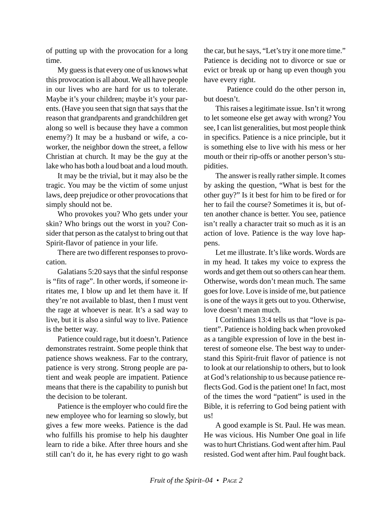of putting up with the provocation for a long time.

My guess is that every one of us knows what this provocation is all about. We all have people in our lives who are hard for us to tolerate. Maybe it's your children; maybe it's your parents. (Have you seen that sign that says that the reason that grandparents and grandchildren get along so well is because they have a common enemy?) It may be a husband or wife, a coworker, the neighbor down the street, a fellow Christian at church. It may be the guy at the lake who has both a loud boat and a loud mouth.

It may be the trivial, but it may also be the tragic. You may be the victim of some unjust laws, deep prejudice or other provocations that simply should not be.

Who provokes you? Who gets under your skin? Who brings out the worst in you? Consider that person as the catalyst to bring out that Spirit-flavor of patience in your life.

There are two different responses to provocation.

Galatians 5:20 says that the sinful response is "fits of rage". In other words, if someone irritates me, I blow up and let them have it. If they're not available to blast, then I must vent the rage at whoever is near. It's a sad way to live, but it is also a sinful way to live. Patience is the better way.

Patience could rage, but it doesn't. Patience demonstrates restraint. Some people think that patience shows weakness. Far to the contrary, patience is very strong. Strong people are patient and weak people are impatient. Patience means that there is the capability to punish but the decision to be tolerant.

Patience is the employer who could fire the new employee who for learning so slowly, but gives a few more weeks. Patience is the dad who fulfills his promise to help his daughter learn to ride a bike. After three hours and she still can't do it, he has every right to go wash the car, but he says, "Let's try it one more time." Patience is deciding not to divorce or sue or evict or break up or hang up even though you have every right.

Patience could do the other person in, but doesn't.

This raises a legitimate issue. Isn't it wrong to let someone else get away with wrong? You see, I can list generalities, but most people think in specifics. Patience is a nice principle, but it is something else to live with his mess or her mouth or their rip-offs or another person's stupidities.

The answer is really rather simple. It comes by asking the question, "What is best for the other guy?" Is it best for him to be fired or for her to fail the course? Sometimes it is, but often another chance is better. You see, patience isn't really a character trait so much as it is an action of love. Patience is the way love happens.

Let me illustrate. It's like words. Words are in my head. It takes my voice to express the words and get them out so others can hear them. Otherwise, words don't mean much. The same goes for love. Love is inside of me, but patience is one of the ways it gets out to you. Otherwise, love doesn't mean much.

I Corinthians 13:4 tells us that "love is patient". Patience is holding back when provoked as a tangible expression of love in the best interest of someone else. The best way to understand this Spirit-fruit flavor of patience is not to look at our relationship to others, but to look at God's relationship to us because patience reflects God. God is the patient one! In fact, most of the times the word "patient" is used in the Bible, it is referring to God being patient with us!

A good example is St. Paul. He was mean. He was vicious. His Number One goal in life was to hurt Christians. God went after him. Paul resisted. God went after him. Paul fought back.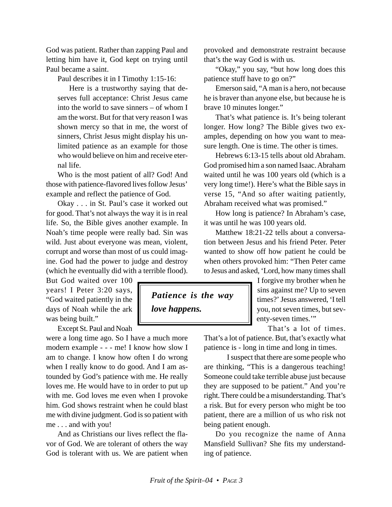God was patient. Rather than zapping Paul and letting him have it, God kept on trying until Paul became a saint.

Paul describes it in I Timothy 1:15-16:

Here is a trustworthy saying that deserves full acceptance: Christ Jesus came into the world to save sinners – of whom I am the worst. But for that very reason I was shown mercy so that in me, the worst of sinners, Christ Jesus might display his unlimited patience as an example for those who would believe on him and receive eternal life.

Who is the most patient of all? God! And those with patience-flavored lives follow Jesus' example and reflect the patience of God.

Okay . . . in St. Paul's case it worked out for good. That's not always the way it is in real life. So, the Bible gives another example. In Noah's time people were really bad. Sin was wild. Just about everyone was mean, violent, corrupt and worse than most of us could imagine. God had the power to judge and destroy (which he eventually did with a terrible flood).

But God waited over 100 years! I Peter 3:20 says, "God waited patiently in the days of Noah while the ark was being built."

Except St. Paul and Noah

were a long time ago. So I have a much more modern example - - - me! I know how slow I am to change. I know how often I do wrong when I really know to do good. And I am astounded by God's patience with me. He really loves me. He would have to in order to put up with me. God loves me even when I provoke him. God shows restraint when he could blast me with divine judgment. God is so patient with me . . . and with you!

And as Christians our lives reflect the flavor of God. We are tolerant of others the way God is tolerant with us. We are patient when

*Patience is the way love happens.*

provoked and demonstrate restraint because that's the way God is with us.

"Okay," you say, "but how long does this patience stuff have to go on?"

Emerson said, "A man is a hero, not because he is braver than anyone else, but because he is brave 10 minutes longer."

That's what patience is. It's being tolerant longer. How long? The Bible gives two examples, depending on how you want to measure length. One is time. The other is times.

Hebrews 6:13-15 tells about old Abraham. God promised him a son named Isaac. Abraham waited until he was 100 years old (which is a very long time!). Here's what the Bible says in verse 15, "And so after waiting patiently, Abraham received what was promised."

How long is patience? In Abraham's case, it was until he was 100 years old.

Matthew 18:21-22 tells about a conversation between Jesus and his friend Peter. Peter wanted to show off how patient he could be when others provoked him: "Then Peter came to Jesus and asked, 'Lord, how many times shall

> I forgive my brother when he sins against me? Up to seven times?' Jesus answered, 'I tell you, not seven times, but seventy-seven times.'"

That's a lot of times. That's a lot of patience. But, that's exactly what patience is - long in time and long in times.

I suspect that there are some people who are thinking, "This is a dangerous teaching! Someone could take terrible abuse just because they are supposed to be patient." And you're right. There could be a misunderstanding. That's a risk. But for every person who might be too patient, there are a million of us who risk not being patient enough.

Do you recognize the name of Anna Mansfield Sullivan? She fits my understanding of patience.